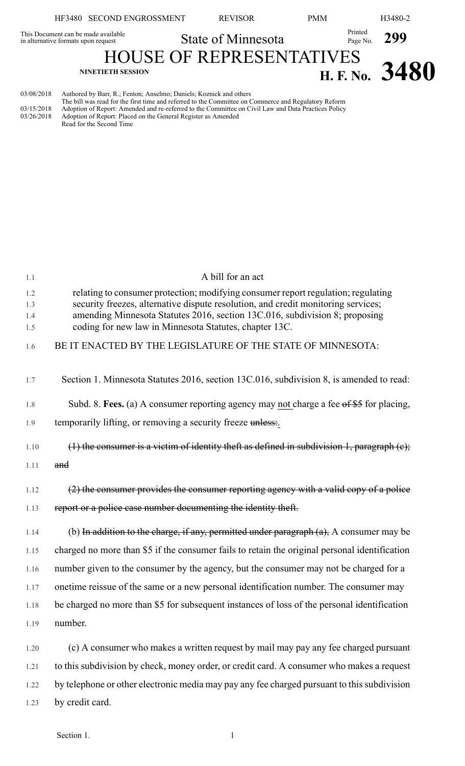|                                                                            | HF3480 SECOND ENGROSSMENT                                                                                                                                                                                                                                                         | <b>REVISOR</b>            | <b>PMM</b>                      |                     | H3480-2        |
|----------------------------------------------------------------------------|-----------------------------------------------------------------------------------------------------------------------------------------------------------------------------------------------------------------------------------------------------------------------------------|---------------------------|---------------------------------|---------------------|----------------|
| This Document can be made available<br>in alternative formats upon request |                                                                                                                                                                                                                                                                                   | <b>State of Minnesota</b> |                                 | Printed<br>Page No. | 299            |
|                                                                            | <b>NINETIETH SESSION</b>                                                                                                                                                                                                                                                          |                           | <b>HOUSE OF REPRESENTATIVES</b> |                     | H. F. No. 3480 |
| 03/08/2018<br>03/15/2018                                                   | Authored by Barr, R.; Fenton; Anselmo; Daniels; Koznick and others<br>The bill was read for the first time and referred to the Committee on Commerce and Regulatory Reform<br>Adoption of Report: Amended and re-referred to the Committee on Civil Law and Data Practices Policy |                           |                                 |                     |                |

03/26/2018 Adoption of Report: Placed on the General Register as Amended

Read for the Second Time

| 1.1  | A bill for an act                                                                                    |
|------|------------------------------------------------------------------------------------------------------|
| 1.2  | relating to consumer protection; modifying consumer report regulation; regulating                    |
| 1.3  | security freezes, alternative dispute resolution, and credit monitoring services;                    |
| 1.4  | amending Minnesota Statutes 2016, section 13C.016, subdivision 8; proposing                          |
| 1.5  | coding for new law in Minnesota Statutes, chapter 13C.                                               |
| 1.6  | BE IT ENACTED BY THE LEGISLATURE OF THE STATE OF MINNESOTA:                                          |
|      |                                                                                                      |
| 1.7  | Section 1. Minnesota Statutes 2016, section 13C.016, subdivision 8, is amended to read:              |
|      |                                                                                                      |
| 1.8  | Subd. 8. Fees. (a) A consumer reporting agency may not charge a fee $\theta$ f $\theta$ for placing, |
| 1.9  | temporarily lifting, or removing a security freeze unless.                                           |
|      |                                                                                                      |
| 1.10 | $(1)$ the consumer is a victim of identity theft as defined in subdivision 1, paragraph $(e)$ ;      |
| 1.11 | and                                                                                                  |
|      |                                                                                                      |
| 1.12 | (2) the consumer provides the consumer reporting agency with a valid copy of a police                |
| 1.13 | report or a police case number documenting the identity theft.                                       |
|      |                                                                                                      |
| 1.14 | (b) In addition to the charge, if any, permitted under paragraph $(a)$ , A consumer may be           |
| 1.15 | charged no more than \$5 if the consumer fails to retain the original personal identification        |
| 1.16 | number given to the consumer by the agency, but the consumer may not be charged for a                |
| 1.17 | onetime reissue of the same or a new personal identification number. The consumer may                |
| 1.18 | be charged no more than \$5 for subsequent instances of loss of the personal identification          |
| 1.19 | number.                                                                                              |
|      |                                                                                                      |
| 1.20 | $\alpha$ $\Lambda$ consumer who makes a written request by mail may nay any fee charged nursuant     |

1.20 (c) A consumer who makes a written request by mail may pay any fee charged pursuant 1.21 to this subdivision by check, money order, or credit card. A consumer who makes a request 1.22 by telephone or other electronic media may pay any fee charged pursuant to this subdivision 1.23 by credit card.